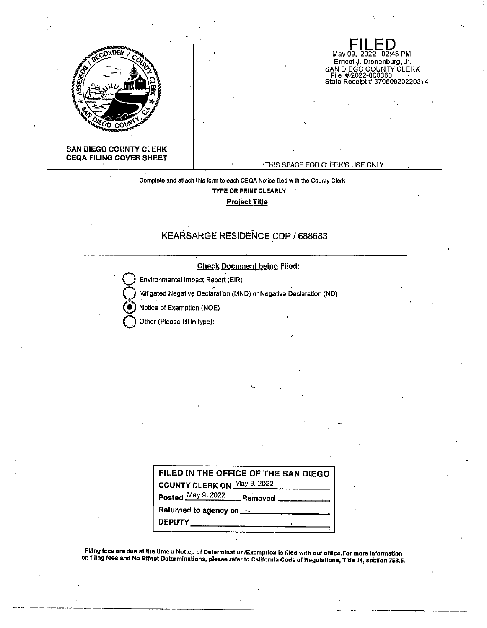

**FILED**<br>May 09, 2022 02:43 PM Ernest J. Dronenburg, Jr. SAN DIEGO COUNTY CLERK<br>|- File||#2022-000360<br>|- State Receipt # 370509202220314

### **SAN DIEGO COUNTY CLERK CEQA FILING COVER SHEET**

#### ·THIS SPACE FOR CLERK'S USE ONLY

Complete and atlach this form to each CEQA Notice flied with the County Clerk **TYPE OR PRINT CLEARLY Project Title** 

# **KEARSARGE RESIDENCE CDP/ 688683**

#### **Check Document being Filed:**

**Environmental Impact Report (EIR)** 

**Mitigated Negative Declaration (MND) or Negative Declaration (ND)** 

@ Notice of Exemption (NOE)

**Q** Other (Please fill in type):

| FILED IN THE OFFICE OF THE SAN DIEGO              |  |
|---------------------------------------------------|--|
| COUNTY CLERK ON May 9, 2022                       |  |
| Posted May 9, 2022 Removed                        |  |
| Returned to agency on <b>Fig. 1.1 August 2018</b> |  |
| <b>DEPUTY</b>                                     |  |

Filing fees are due at the lime a Notlc.e of Determination/Exemption is filed with our office.For more·lnformatlon on fillng fees and No Effect Determinations, please refer to California Code of Regulations, Title 14, section 753.5.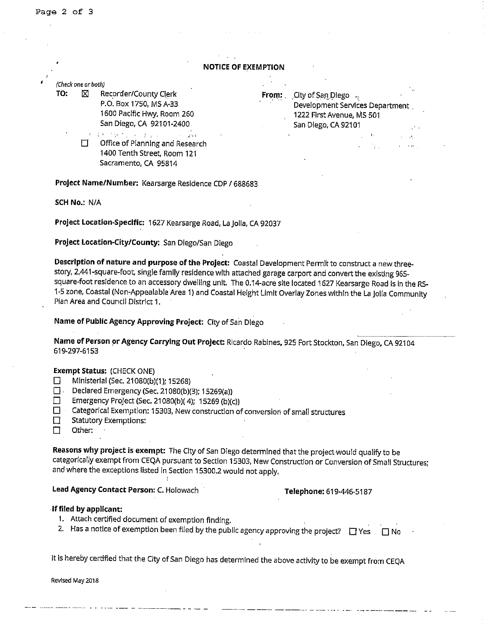|     | (Check one or both) |                                                          |                                |                                                              |              |  |
|-----|---------------------|----------------------------------------------------------|--------------------------------|--------------------------------------------------------------|--------------|--|
| TO: | ⊠                   | Recorder/County Clerk                                    | From: $\overline{\phantom{a}}$ | City of San Diego                                            |              |  |
|     |                     | P.O. Box 1750, MS A-33<br>1600 Pacific Hwy, Room 260     |                                | Development Services Department<br>1222 First Avenue, MS 501 |              |  |
|     |                     | San Diego, CA 92101-2400                                 |                                | San Diego, CA 92101                                          | Saltan       |  |
|     |                     | キーのおうため オリースト おなしのう<br>$\alpha$ , $\beta$ , and $\alpha$ |                                | an da                                                        | 医心动脉         |  |
|     |                     | Office of Planning and Research                          |                                | in territo                                                   | and the pro- |  |
|     |                     | 1400 Tenth Street, Room 121                              |                                |                                                              |              |  |
|     |                     | Sacramento, CA 95814                                     |                                |                                                              |              |  |

**SCH No.:** N/A

**Project Location-Specific:** 1627 Kearsarge Road, La Jolla, CA 92037

**Project Location-City/County:** San Diego/San Diego

**Description of nature and purpose of the Project:** Coastal Development Permit to construct a new threestory, 2,441-square-foot, single family residence with attached garage carport and convert the existing 965 square-foot residence to an accessory dwelling unit. The 0.14-acre site located 1627 Kearsarge Road Is In the RS-1-5 zone, Coastal (Non-Appealable Area 1) and Coastal Height Limit Overlay Zones within the La Jolla Community Plan Area and Council District 1.

**Name of Public Agency Approving Project:** City of San Diego

**Name of Person or Agency Carrying Out Project:** Ricardo Rabines, 925 Fort Stockton, San Diego, CA 92104 619-297-6153

#### **Exempt Status:** (CHECK ONE)

- D Ministerial (Sec. 21080(b)(1): 15268)
- D. Declared Emergency (Sec. 21080(b)(3); 15269(a))
- D Emergency Project (Sec. 21080(b)( 4); 15269 (b)(c))
- **D** Categorical Exemption: 15303, New construction of conversion of small structures
- **Statutory Exemptions:**
- $\Box$  Other:

**Reasons why project is exempt:** The City of San Diego determined that the project would qualify to be categorically exempt from CEQA pursuant to Section 15303, New Construction or Conversion of Small Structures; and where the exceptions listed in Section 15300,2 would not apply.

## **Lead Agency Contact Person:** C. Holowach **Telephone:** 619-446-5187

#### -**If filed by applicant:**

- **1.** Attach certified document of exemption finding.
- 2. Has a notice of exemption been filed by the public agency approving the project?  $\Box$  Yes  $\Box$  No

It is hereby certified that the City of San Diego has determined the above activity to be exempt from CEQA

**Revised May 2018**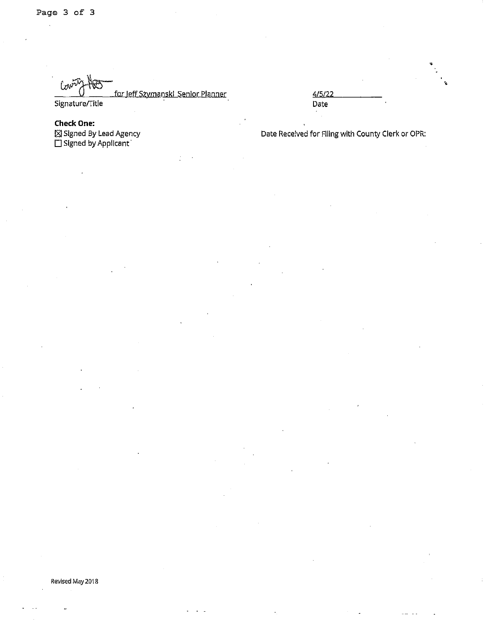~ for leffSzymanski Senior Planner Signature/Title

**Check One:**   $\boxtimes$  Signed By Lead Agency  $\square$  Signed by Applicant

4/5/22 Date

Date Received for FIiing with County Clerk or OPR: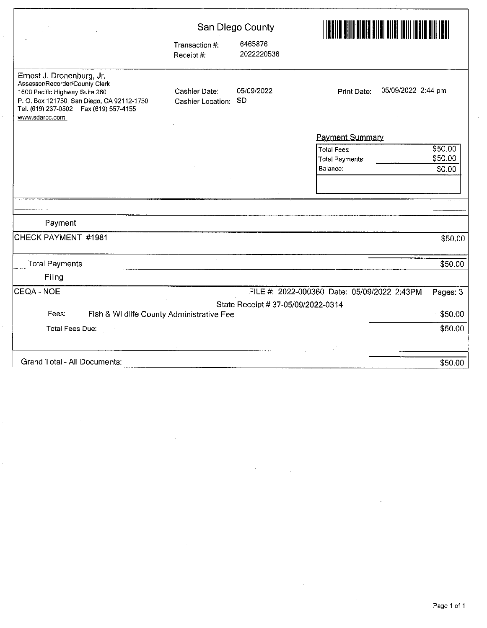|                                                                                                                                                                                                          |                                    | San Diego County                   |                                                                                         |  |
|----------------------------------------------------------------------------------------------------------------------------------------------------------------------------------------------------------|------------------------------------|------------------------------------|-----------------------------------------------------------------------------------------|--|
|                                                                                                                                                                                                          | Transaction #.<br>Receipt #:       | 6465876<br>2022220536              |                                                                                         |  |
| Ernest J. Dronenburg, Jr.<br>Assessor/Recorder/County Clerk<br>1600 Pacific Highway Suite 260<br>P. O. Box 121750, San Diego, CA 92112-1750<br>Tel. (619) 237-0502  Fax (619) 557-4155<br>www.sdarcc.com | Cashier Date:<br>Cashier Location: | 05/09/2022<br><b>SD</b>            | 05/09/2022 2:44 pm<br><b>Print Date:</b>                                                |  |
|                                                                                                                                                                                                          |                                    |                                    | <b>Payment Summary</b>                                                                  |  |
|                                                                                                                                                                                                          |                                    |                                    | \$50.00<br><b>Total Fees:</b><br>\$50.00<br><b>Total Payments</b><br>\$0,00<br>Balance: |  |
|                                                                                                                                                                                                          |                                    |                                    |                                                                                         |  |
|                                                                                                                                                                                                          |                                    |                                    |                                                                                         |  |
| Payment                                                                                                                                                                                                  |                                    |                                    |                                                                                         |  |
| CHECK PAYMENT #1981                                                                                                                                                                                      |                                    |                                    | \$50.00                                                                                 |  |
| <b>Total Payments</b>                                                                                                                                                                                    |                                    |                                    | \$50.00                                                                                 |  |
| Filing                                                                                                                                                                                                   |                                    |                                    |                                                                                         |  |
| ICEQA - NOE                                                                                                                                                                                              |                                    |                                    | FILE #: 2022-000360 Date: 05/09/2022 2:43PM<br>Pages: 3                                 |  |
|                                                                                                                                                                                                          |                                    | State Receipt # 37-05/09/2022-0314 |                                                                                         |  |
| Fees:<br>Fish & Wildlife County Administrative Fee                                                                                                                                                       |                                    |                                    | \$50.00                                                                                 |  |
| Total Fees Due:                                                                                                                                                                                          |                                    |                                    | \$50.00                                                                                 |  |
| Grand Total - All Documents:                                                                                                                                                                             |                                    |                                    | \$50.00                                                                                 |  |

 $\hat{\mathcal{L}}$